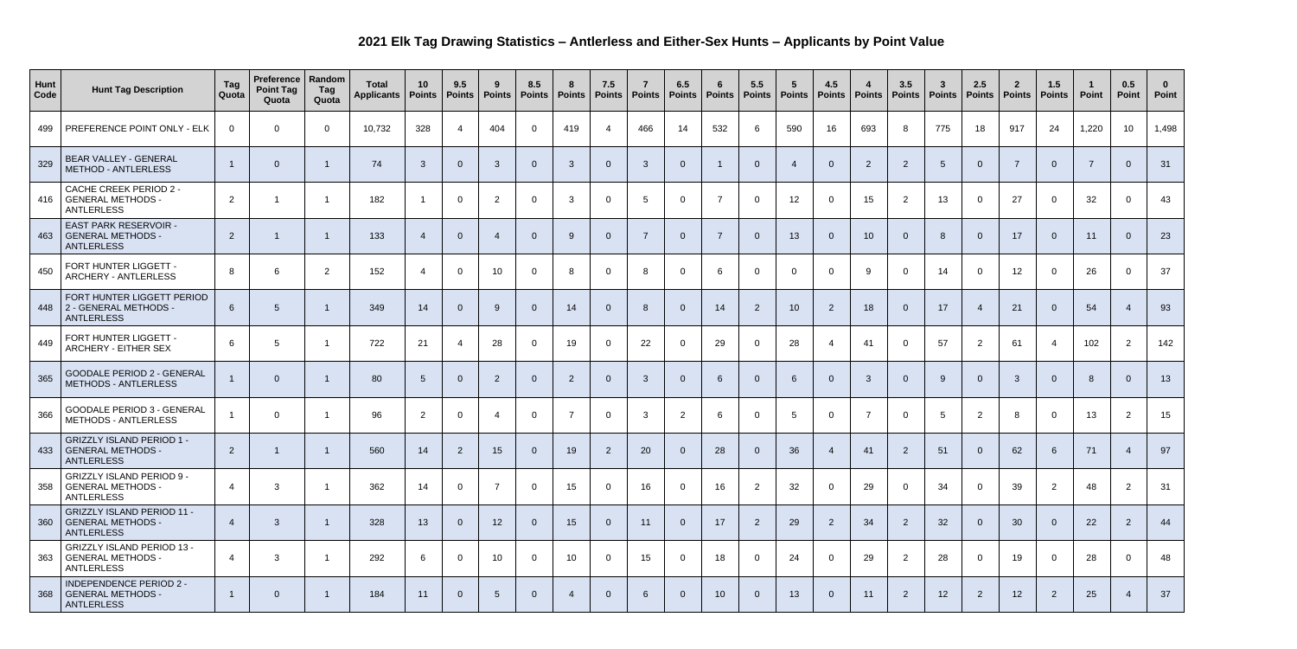## **2021 Elk Tag Drawing Statistics – Antlerless and Either-Sex Hunts – Applicants by Point Value**

| <b>Hunt</b><br>Code | <b>Hunt Tag Description</b>                                                       | Tag<br>Quota   | <b>Preference   Random</b><br><b>Point Tag</b><br>Quota | Tag<br>Quota | <b>Total</b><br><b>Applicants</b> | 10<br>Points           | 9.5<br><b>Points</b> | 9<br><b>Points</b> | 8.5<br>Points   Points | -8              | 7.5<br><b>Points</b> | Points | 6.5<br><b>Points</b> | -6<br>Points   | 5.5<br><b>Points</b> | $-5$<br><b>Points</b> | 4.5<br>$ $ Points $ $ | 4<br>Points    | 3.5<br><b>Points</b> | $\mathbf{3}$<br><b>Points</b> | 2.5<br><b>Points</b> | $\mathbf{2}$<br><b>Points</b> | 1.5<br><b>Points</b> | Point | 0.5<br><b>Point</b> | 0<br>Point |
|---------------------|-----------------------------------------------------------------------------------|----------------|---------------------------------------------------------|--------------|-----------------------------------|------------------------|----------------------|--------------------|------------------------|-----------------|----------------------|--------|----------------------|----------------|----------------------|-----------------------|-----------------------|----------------|----------------------|-------------------------------|----------------------|-------------------------------|----------------------|-------|---------------------|------------|
| 499                 | PREFERENCE POINT ONLY - ELK                                                       | 0              | 0                                                       | $\mathbf 0$  | 10,732                            | 328                    |                      | 404                | $\Omega$               | 419             | 4                    | 466    | 14                   | 532            | 6                    | 590                   | 16                    | 693            | 8                    | 775                           | 18                   | 917                           | 24                   | 1,220 | 10 <sup>°</sup>     | 1,498      |
| 329                 | <b>BEAR VALLEY - GENERAL</b><br><b>METHOD - ANTLERLESS</b>                        |                | 0                                                       |              | 74                                | $\mathbf{3}$           | $\Omega$             | $\mathbf{3}$       | $\overline{0}$         | 3               | $\overline{0}$       | 3      | $\overline{0}$       |                | $\overline{0}$       |                       |                       | 2              | $\overline{2}$       | $5\phantom{.0}$               |                      | $\overline{ }$                | $\overline{0}$       |       | $\Omega$            | 31         |
|                     | <b>CACHE CREEK PERIOD 2 -</b><br>416   GENERAL METHODS -<br><b>ANTLERLESS</b>     | 2              |                                                         |              | 182                               | - 1                    | $\Omega$             | $\overline{2}$     | $\Omega$               | 3               | $\Omega$             | 5      | $\overline{0}$       | $\overline{7}$ | $\mathbf{0}$         | 12                    | $\Omega$              | 15             | $\overline{2}$       | 13                            | $\overline{0}$       | 27                            | $\overline{0}$       | 32    | $\Omega$            | 43         |
| 463                 | <b>EAST PARK RESERVOIR -</b><br>  GENERAL METHODS -<br><b>ANTLERLESS</b>          | $\overline{2}$ |                                                         |              | 133                               | $\boldsymbol{\Lambda}$ | $\Omega$             | $\overline{4}$     | $\overline{0}$         | 9               | $\overline{0}$       | -7     | $\overline{0}$       | $\overline{7}$ | $\overline{0}$       | 13                    | $\Omega$              | 10             | - 0                  | 8                             | $\overline{0}$       | 17                            | $\overline{0}$       | 11    | $\Omega$            | 23         |
| 450                 | FORT HUNTER LIGGETT -<br><b>ARCHERY - ANTLERLESS</b>                              | 8              | 6                                                       | 2            | 152                               | 4                      | $\Omega$             | 10                 | $\Omega$               | 8               | $\overline{0}$       | 8      | $\overline{0}$       | -6             | $\overline{0}$       | $\overline{0}$        |                       | 9              | $\Omega$             | 14                            | $\Omega$             | 12                            | $\overline{0}$       | 26    | $\Omega$            | 37         |
|                     | FORT HUNTER LIGGETT PERIOD<br>448 2 - GENERAL METHODS -<br><b>ANTLERLESS</b>      | 6              | 5.                                                      |              | 349                               | 14                     | $\Omega$             | 9                  | $\Omega$               | 14              | $\overline{0}$       | 8      | $\overline{0}$       | 14             | $\overline{2}$       | 10                    | $\overline{2}$        | 18             | - 0                  | 17                            | -4                   | 21                            | $\overline{0}$       | 54    | 4                   | 93         |
| 449                 | FORT HUNTER LIGGETT -<br><b>ARCHERY - EITHER SEX</b>                              | 6              | 5                                                       |              | 722                               | 21                     |                      | 28                 | $\Omega$               | 19              | $\overline{0}$       | 22     | $\overline{0}$       | 29             | $\overline{0}$       | 28                    |                       | 41             | $\Omega$             | 57                            | $\overline{2}$       | 61                            | 4                    | 102   | 2                   | 142        |
| 365                 | <b>GOODALE PERIOD 2 - GENERAL</b><br><b>METHODS - ANTLERLESS</b>                  |                |                                                         |              | 80                                | -5                     | $\Omega$             | $\overline{2}$     | $\overline{0}$         | $\overline{2}$  | $\overline{0}$       | 3      | $\overline{0}$       | -6             | $\overline{0}$       | 6                     | $\Omega$              | $\overline{3}$ | - 0                  | 9                             |                      | $\mathbf{3}$                  | $\overline{0}$       | -8    | $\Omega$            | 13         |
| 366                 | <b>GOODALE PERIOD 3 - GENERAL</b><br><b>METHODS - ANTLERLESS</b>                  |                | $\Omega$                                                |              | 96                                | $\overline{2}$         | $\overline{0}$       | $\overline{4}$     | $\overline{0}$         | $\overline{7}$  | $\overline{0}$       | 3      | $\overline{2}$       | 6              | $\overline{0}$       | $5\overline{)}$       | $\Omega$              | $\overline{7}$ | $\Omega$             | 5                             | $\overline{2}$       | -8                            | $\overline{0}$       | 13    | $\overline{2}$      | 15         |
|                     | <b>GRIZZLY ISLAND PERIOD 1 -</b><br>433   GENERAL METHODS -<br><b>ANTLERLESS</b>  | $\overline{2}$ |                                                         |              | 560                               | 14                     | $\overline{2}$       | 15                 | $\Omega$               | 19              | $\overline{2}$       | 20     | $\overline{0}$       | 28             | $\overline{0}$       | 36                    | -4                    | 41             | $\overline{2}$       | 51                            | $\overline{0}$       | 62                            | 6                    | 71    | $\overline{4}$      | 97         |
|                     | <b>GRIZZLY ISLAND PERIOD 9 -</b><br>358   GENERAL METHODS -<br><b>ANTLERLESS</b>  | $\overline{4}$ | $\mathbf{3}$                                            |              | 362                               | 14                     | $\overline{0}$       | $\overline{7}$     | $\overline{0}$         | 15              | $\overline{0}$       | 16     | $\overline{0}$       | 16             | $\overline{2}$       | 32                    |                       | 29             | $\Omega$             | 34                            | $\overline{0}$       | 39                            | $\overline{2}$       | 48    | $\overline{2}$      | 31         |
| 360                 | <b>GRIZZLY ISLAND PERIOD 11 -</b><br>GENERAL METHODS -<br><b>ANTLERLESS</b>       | -4             | 3                                                       |              | 328                               | 13                     | $\overline{0}$       | 12                 | $\overline{0}$         | 15              | $\overline{0}$       | 11     | $\overline{0}$       | 17             | $\overline{2}$       | 29                    | $\overline{2}$        | 34             | $\overline{2}$       | 32                            |                      | 30                            | $\overline{0}$       | 22    | $\overline{2}$      | 44         |
|                     | <b>GRIZZLY ISLAND PERIOD 13 -</b><br>363   GENERAL METHODS -<br><b>ANTLERLESS</b> | 4              | 3                                                       |              | 292                               | 6                      | $\overline{0}$       | 10 <sup>°</sup>    | $\overline{0}$         | 10 <sup>°</sup> | $\overline{0}$       | 15     | $\overline{0}$       | 18             | $\overline{0}$       | 24                    | $\Omega$              | 29             | 2                    | 28                            | $\overline{0}$       | 19                            | $\overline{0}$       | 28    | $\overline{0}$      | 48         |
|                     | INDEPENDENCE PERIOD 2 -<br>368   GENERAL METHODS -<br>ANTLERLESS                  |                | $\Omega$                                                |              | 184                               | 11                     | $\overline{0}$       | $5\overline{)}$    | $\overline{0}$         | $\overline{4}$  | $\overline{0}$       | 6      | $\overline{0}$       | 10             | $\overline{0}$       | 13                    | $\overline{0}$        | 11             | $\overline{2}$       | 12                            | $\overline{2}$       | 12                            | $\overline{2}$       | 25    | $\overline{4}$      | 37         |